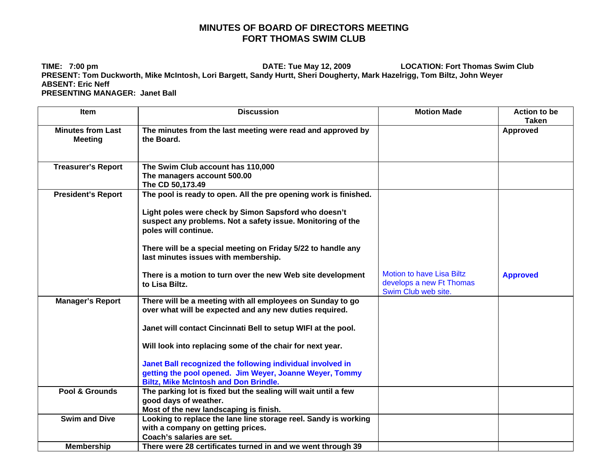## **MINUTES OF BOARD OF DIRECTORS MEETING FORT THOMAS SWIM CLUB**

**TIME: 7:00 pm DATE: Tue May 12, 2009 LOCATION: Fort Thomas Swim Club PRESENT: Tom Duckworth, Mike McIntosh, Lori Bargett, Sandy Hurtt, Sheri Dougherty, Mark Hazelrigg, Tom Biltz, John Weyer ABSENT: Eric Neff PRESENTING MANAGER: Janet Ball** 

| <b>Item</b>                                | <b>Discussion</b>                                                                                                                                                                                                                                                                                                                                                                                                            | <b>Motion Made</b>                                                                  | <b>Action to be</b><br><b>Taken</b> |
|--------------------------------------------|------------------------------------------------------------------------------------------------------------------------------------------------------------------------------------------------------------------------------------------------------------------------------------------------------------------------------------------------------------------------------------------------------------------------------|-------------------------------------------------------------------------------------|-------------------------------------|
| <b>Minutes from Last</b><br><b>Meeting</b> | The minutes from the last meeting were read and approved by<br>the Board.                                                                                                                                                                                                                                                                                                                                                    |                                                                                     | <b>Approved</b>                     |
| <b>Treasurer's Report</b>                  | The Swim Club account has 110,000<br>The managers account 500.00<br>The CD 50,173.49                                                                                                                                                                                                                                                                                                                                         |                                                                                     |                                     |
| <b>President's Report</b>                  | The pool is ready to open. All the pre opening work is finished.<br>Light poles were check by Simon Sapsford who doesn't<br>suspect any problems. Not a safety issue. Monitoring of the<br>poles will continue.<br>There will be a special meeting on Friday 5/22 to handle any<br>last minutes issues with membership.                                                                                                      |                                                                                     |                                     |
|                                            | There is a motion to turn over the new Web site development<br>to Lisa Biltz.                                                                                                                                                                                                                                                                                                                                                | <b>Motion to have Lisa Biltz</b><br>develops a new Ft Thomas<br>Swim Club web site. | <b>Approved</b>                     |
| <b>Manager's Report</b>                    | There will be a meeting with all employees on Sunday to go<br>over what will be expected and any new duties required.<br>Janet will contact Cincinnati Bell to setup WIFI at the pool.<br>Will look into replacing some of the chair for next year.<br>Janet Ball recognized the following individual involved in<br>getting the pool opened. Jim Weyer, Joanne Weyer, Tommy<br><b>Biltz, Mike McIntosh and Don Brindle.</b> |                                                                                     |                                     |
| Pool & Grounds                             | The parking lot is fixed but the sealing will wait until a few<br>good days of weather.<br>Most of the new landscaping is finish.                                                                                                                                                                                                                                                                                            |                                                                                     |                                     |
| <b>Swim and Dive</b>                       | Looking to replace the lane line storage reel. Sandy is working<br>with a company on getting prices.<br>Coach's salaries are set.                                                                                                                                                                                                                                                                                            |                                                                                     |                                     |
| <b>Membership</b>                          | There were 28 certificates turned in and we went through 39                                                                                                                                                                                                                                                                                                                                                                  |                                                                                     |                                     |